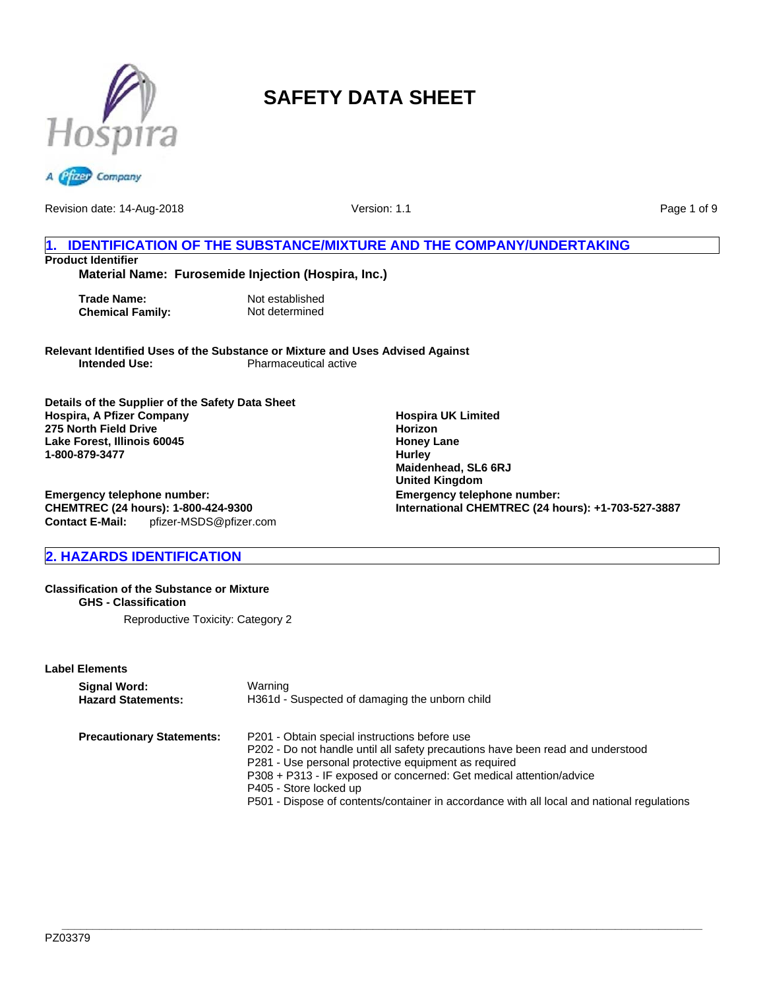

Revision date: 14-Aug-2018

Version: 1.1

Page 1 of 9

## **1. IDENTIFICATION OF THE SUBSTANCE/MIXTURE AND THE COMPANY/UNDERTAKING Product Identifier**

## **Material Name: Furosemide Injection (Hospira, Inc.)**

**Trade Name:** Not established<br> **Chemical Family:** Not determined **Chemical Family:** 

**Relevant Identified Uses of the Substance or Mixture and Uses Advised Against Pharmaceutical active** 

**Details of the Supplier of the Safety Data Sheet Hospira, A Pfizer Company 275 North Field Drive Lake Forest, Illinois 60045 1-800-879-3477**

**Emergency telephone number: CHEMTREC (24 hours): 1-800-424-9300 Contact E-Mail:** pfizer-MSDS@pfizer.com

## **2. HAZARDS IDENTIFICATION**

#### **Classification of the Substance or Mixture GHS - Classification**

Reproductive Toxicity: Category 2

## **Label Elements**

| Signal Word:                     | Warning                                                                                                                                                                                                                                                                                                                                                                                 |
|----------------------------------|-----------------------------------------------------------------------------------------------------------------------------------------------------------------------------------------------------------------------------------------------------------------------------------------------------------------------------------------------------------------------------------------|
| <b>Hazard Statements:</b>        | H361d - Suspected of damaging the unborn child                                                                                                                                                                                                                                                                                                                                          |
| <b>Precautionary Statements:</b> | P201 - Obtain special instructions before use<br>P202 - Do not handle until all safety precautions have been read and understood<br>P281 - Use personal protective equipment as required<br>P308 + P313 - IF exposed or concerned: Get medical attention/advice<br>P405 - Store locked up<br>P501 - Dispose of contents/container in accordance with all local and national regulations |

**Hospira UK Limited Horizon Honey Lane Hurley Maidenhead, SL6 6RJ United Kingdom Emergency telephone number: International CHEMTREC (24 hours): +1-703-527-3887**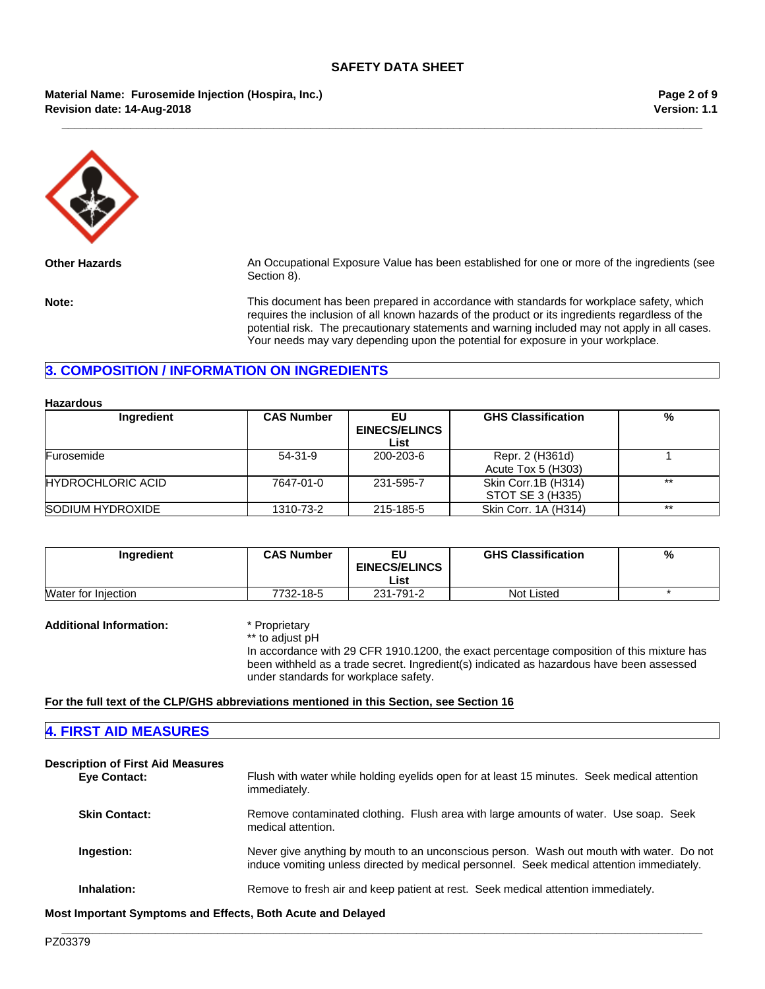**\_\_\_\_\_\_\_\_\_\_\_\_\_\_\_\_\_\_\_\_\_\_\_\_\_\_\_\_\_\_\_\_\_\_\_\_\_\_\_\_\_\_\_\_\_\_\_\_\_\_\_\_\_\_\_\_\_\_\_\_\_\_\_\_\_\_\_\_\_\_\_\_\_\_\_\_\_\_\_\_\_\_\_\_\_\_\_\_\_\_\_\_\_\_\_\_\_\_\_\_\_\_\_**

## **Material Name: Furosemide Injection (Hospira, Inc.) Revision date: 14-Aug-2018**

**Version: 1.1 Page 2 of 9**



**Other Hazards** An Occupational Exposure Value has been established for one or more of the ingredients (see Section 8).

**Note:** This document has been prepared in accordance with standards for workplace safety, which requires the inclusion of all known hazards of the product or its ingredients regardless of the potential risk. The precautionary statements and warning included may not apply in all cases. Your needs may vary depending upon the potential for exposure in your workplace.

## **3. COMPOSITION / INFORMATION ON INGREDIENTS**

#### **Hazardous**

| Ingredient               | <b>CAS Number</b> | EU<br><b>EINECS/ELINCS</b><br>List | <b>GHS Classification</b>               | %     |
|--------------------------|-------------------|------------------------------------|-----------------------------------------|-------|
| Furosemide               | 54-31-9           | 200-203-6                          | Repr. 2 (H361d)<br>Acute Tox 5 (H303)   |       |
| <b>HYDROCHLORIC ACID</b> | 7647-01-0         | 231-595-7                          | Skin Corr.1B (H314)<br>STOT SE 3 (H335) | $**$  |
| SODIUM HYDROXIDE         | 1310-73-2         | 215-185-5                          | Skin Corr. 1A (H314)                    | $***$ |

| <b>Ingredient</b>          | <b>CAS Number</b> | EU<br><b>EINECS/ELINCS</b><br>List | <b>GHS Classification</b> | % |
|----------------------------|-------------------|------------------------------------|---------------------------|---|
| <b>Water for Injection</b> | 7732-18-5         | 231-791-2                          | <b>Not Listed</b>         |   |

## **Additional Information:** \* Proprietary

\*\* to adjust pH

In accordance with 29 CFR 1910.1200, the exact percentage composition of this mixture has been withheld as a trade secret. Ingredient(s) indicated as hazardous have been assessed under standards for workplace safety.

## **For the full text of the CLP/GHS abbreviations mentioned in this Section, see Section 16**

| <b>4. FIRST AID MEASURES</b>                             |                                                                                                                                                                                       |
|----------------------------------------------------------|---------------------------------------------------------------------------------------------------------------------------------------------------------------------------------------|
| <b>Description of First Aid Measures</b><br>Eye Contact: | Flush with water while holding eyelids open for at least 15 minutes. Seek medical attention<br>immediately.                                                                           |
| <b>Skin Contact:</b>                                     | Remove contaminated clothing. Flush area with large amounts of water. Use soap. Seek<br>medical attention.                                                                            |
| Ingestion:                                               | Never give anything by mouth to an unconscious person. Wash out mouth with water. Do not<br>induce vomiting unless directed by medical personnel. Seek medical attention immediately. |
| Inhalation:                                              | Remove to fresh air and keep patient at rest. Seek medical attention immediately.                                                                                                     |

**\_\_\_\_\_\_\_\_\_\_\_\_\_\_\_\_\_\_\_\_\_\_\_\_\_\_\_\_\_\_\_\_\_\_\_\_\_\_\_\_\_\_\_\_\_\_\_\_\_\_\_\_\_\_\_\_\_\_\_\_\_\_\_\_\_\_\_\_\_\_\_\_\_\_\_\_\_\_\_\_\_\_\_\_\_\_\_\_\_\_\_\_\_\_\_\_\_\_\_\_\_\_\_**

**Most Important Symptoms and Effects, Both Acute and Delayed**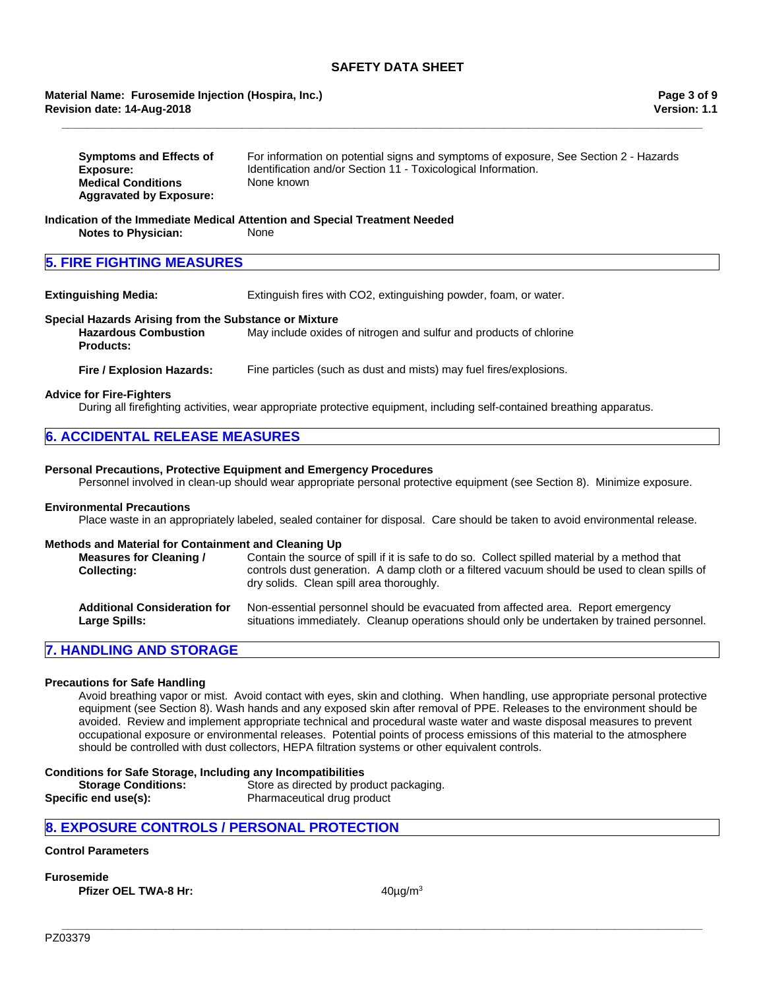## **Revision date: 14-Aug-2018 Material Name: Furosemide Injection (Hospira, Inc.)**

| <b>Symptoms and Effects of</b> | For information on potential signs and symptoms of exposure, See Section 2 - Hazards |
|--------------------------------|--------------------------------------------------------------------------------------|
| Exposure:                      | Identification and/or Section 11 - Toxicological Information.                        |
| <b>Medical Conditions</b>      | None known                                                                           |
| <b>Aggravated by Exposure:</b> |                                                                                      |

**\_\_\_\_\_\_\_\_\_\_\_\_\_\_\_\_\_\_\_\_\_\_\_\_\_\_\_\_\_\_\_\_\_\_\_\_\_\_\_\_\_\_\_\_\_\_\_\_\_\_\_\_\_\_\_\_\_\_\_\_\_\_\_\_\_\_\_\_\_\_\_\_\_\_\_\_\_\_\_\_\_\_\_\_\_\_\_\_\_\_\_\_\_\_\_\_\_\_\_\_\_\_\_**

#### **Indication of the Immediate Medical Attention and Special Treatment Needed Notes to Physician:** None

## **5. FIRE FIGHTING MEASURES**

**Extinguishing Media:** Extinguish fires with CO2, extinguishing powder, foam, or water.

## **Special Hazards Arising from the Substance or Mixture**

**Hazardous Combustion Products:** May include oxides of nitrogen and sulfur and products of chlorine

**Fire / Explosion Hazards:** Fine particles (such as dust and mists) may fuel fires/explosions.

## **Advice for Fire-Fighters**

During all firefighting activities, wear appropriate protective equipment, including self-contained breathing apparatus.

| <b>6. ACCIDENTAL RELEASE MEASURES</b> |
|---------------------------------------|
|---------------------------------------|

## **Personal Precautions, Protective Equipment and Emergency Procedures**

Personnel involved in clean-up should wear appropriate personal protective equipment (see Section 8). Minimize exposure.

#### **Environmental Precautions**

Place waste in an appropriately labeled, sealed container for disposal. Care should be taken to avoid environmental release.

### **Methods and Material for Containment and Cleaning Up**

| <b>Measures for Cleaning /</b><br><b>Collecting:</b> | Contain the source of spill if it is safe to do so. Collect spilled material by a method that<br>controls dust generation. A damp cloth or a filtered vacuum should be used to clean spills of<br>dry solids. Clean spill area thoroughly. |
|------------------------------------------------------|--------------------------------------------------------------------------------------------------------------------------------------------------------------------------------------------------------------------------------------------|
| <b>Additional Consideration for</b>                  | Non-essential personnel should be evacuated from affected area. Report emergency                                                                                                                                                           |
| Large Spills:                                        | situations immediately. Cleanup operations should only be undertaken by trained personnel.                                                                                                                                                 |

## **7. HANDLING AND STORAGE**

## **Precautions for Safe Handling**

Avoid breathing vapor or mist. Avoid contact with eyes, skin and clothing. When handling, use appropriate personal protective equipment (see Section 8). Wash hands and any exposed skin after removal of PPE. Releases to the environment should be avoided. Review and implement appropriate technical and procedural waste water and waste disposal measures to prevent occupational exposure or environmental releases. Potential points of process emissions of this material to the atmosphere should be controlled with dust collectors, HEPA filtration systems or other equivalent controls.

#### **Conditions for Safe Storage, Including any Incompatibilities**

| <b>Storage Conditions:</b> | Store as directed by product packaging. |
|----------------------------|-----------------------------------------|
| Specific end use(s):       | Pharmaceutical drug product             |

## **8. EXPOSURE CONTROLS / PERSONAL PROTECTION**

## **Control Parameters**

**Furosemide**

**Pfizer OEL TWA-8 Hr:** 40µg/m<sup>3</sup>

**\_\_\_\_\_\_\_\_\_\_\_\_\_\_\_\_\_\_\_\_\_\_\_\_\_\_\_\_\_\_\_\_\_\_\_\_\_\_\_\_\_\_\_\_\_\_\_\_\_\_\_\_\_\_\_\_\_\_\_\_\_\_\_\_\_\_\_\_\_\_\_\_\_\_\_\_\_\_\_\_\_\_\_\_\_\_\_\_\_\_\_\_\_\_\_\_\_\_\_\_\_\_\_**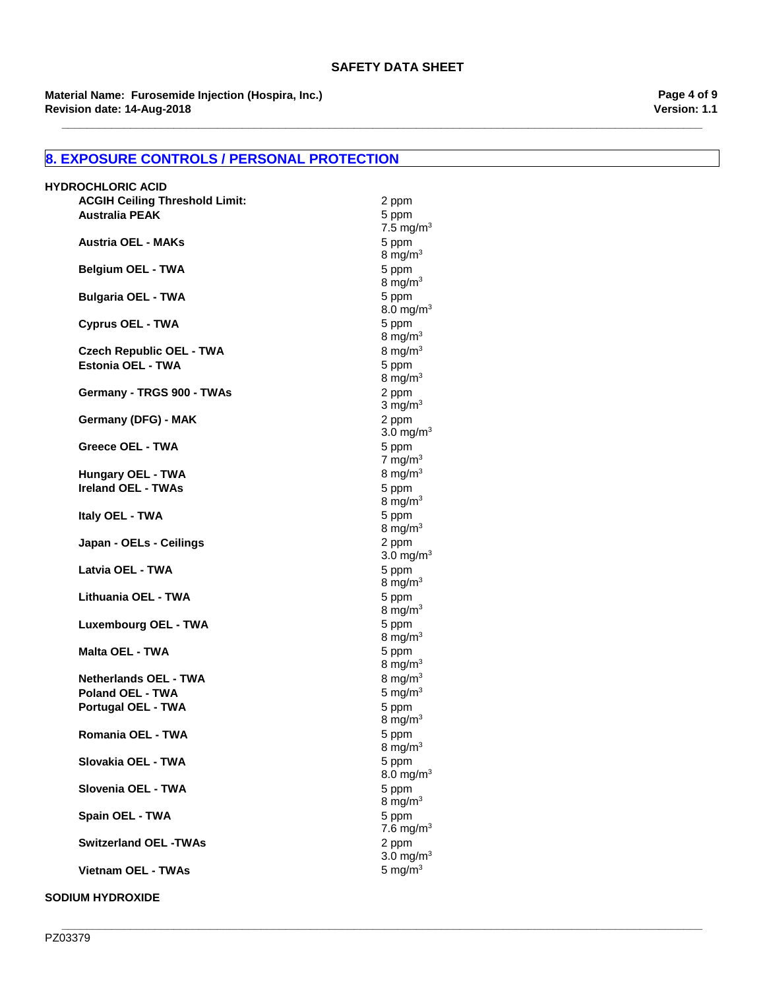**Revision date: 14-Aug-2018 Material Name: Furosemide Injection (Hospira, Inc.)** **Version: 1.1 Page 4 of 9**

## **8. EXPOSURE CONTROLS / PERSONAL PROTECTION**

| <b>HYDROCHLORIC ACID</b>              |                       |
|---------------------------------------|-----------------------|
| <b>ACGIH Ceiling Threshold Limit:</b> | 2 ppm                 |
| <b>Australia PEAK</b>                 | 5 ppm                 |
|                                       | 7.5 mg/m <sup>3</sup> |
| <b>Austria OEL - MAKs</b>             | 5 ppm                 |
|                                       | 8 mg/ $m3$            |
| <b>Belgium OEL - TWA</b>              | 5 ppm                 |
|                                       | 8 mg/m $3$            |
| <b>Bulgaria OEL - TWA</b>             | 5 ppm                 |
|                                       | 8.0 mg/m <sup>3</sup> |
| <b>Cyprus OEL - TWA</b>               | 5 ppm                 |
|                                       | 8 mg/m $3$            |
| <b>Czech Republic OEL - TWA</b>       | 8 mg/m $3$            |
| Estonia OEL - TWA                     | 5 ppm                 |
|                                       | 8 mg/ $m3$            |
| Germany - TRGS 900 - TWAs             | 2 ppm                 |
|                                       | $3 \text{ mg/m}^3$    |
| Germany (DFG) - MAK                   | 2 ppm                 |
|                                       | 3.0 mg/m <sup>3</sup> |
| Greece OEL - TWA                      | 5 ppm                 |
|                                       | 7 mg/m $3$            |
| <b>Hungary OEL - TWA</b>              | 8 mg/ $m3$            |
| <b>Ireland OEL - TWAs</b>             | 5 ppm                 |
|                                       | 8 mg/m $3$            |
| Italy OEL - TWA                       | 5 ppm                 |
|                                       | 8 mg/ $m3$            |
| Japan - OELs - Ceilings               | 2 ppm                 |
|                                       | 3.0 mg/m <sup>3</sup> |
| Latvia OEL - TWA                      | 5 ppm                 |
|                                       | 8 mg/ $m3$            |
| Lithuania OEL - TWA                   | 5 ppm                 |
|                                       | 8 mg/ $m3$            |
| <b>Luxembourg OEL - TWA</b>           | 5 ppm<br>8 mg/ $m3$   |
| <b>Malta OEL - TWA</b>                |                       |
|                                       | 5 ppm<br>8 mg/m $3$   |
| <b>Netherlands OEL - TWA</b>          | 8 mg/ $m3$            |
| <b>Poland OEL - TWA</b>               | 5 mg/ $m3$            |
| <b>Portugal OEL - TWA</b>             | 5 ppm                 |
|                                       | 8 mg/m $3$            |
| Romania OEL - TWA                     | 5 ppm                 |
|                                       | 8 mg/ $m3$            |
| Slovakia OEL - TWA                    | 5 ppm                 |
|                                       | 8.0 mg/m <sup>3</sup> |
| Slovenia OEL - TWA                    | 5 ppm                 |
|                                       | 8 mg/m $3$            |
| Spain OEL - TWA                       | 5 ppm                 |
|                                       | 7.6 mg/m <sup>3</sup> |
| <b>Switzerland OEL -TWAs</b>          | 2 ppm                 |
|                                       | 3.0 mg/m $3$          |
| <b>Vietnam OEL - TWAs</b>             | 5 mg/ $m3$            |
|                                       |                       |
| <b>SODIUM HYDROXIDE</b>               |                       |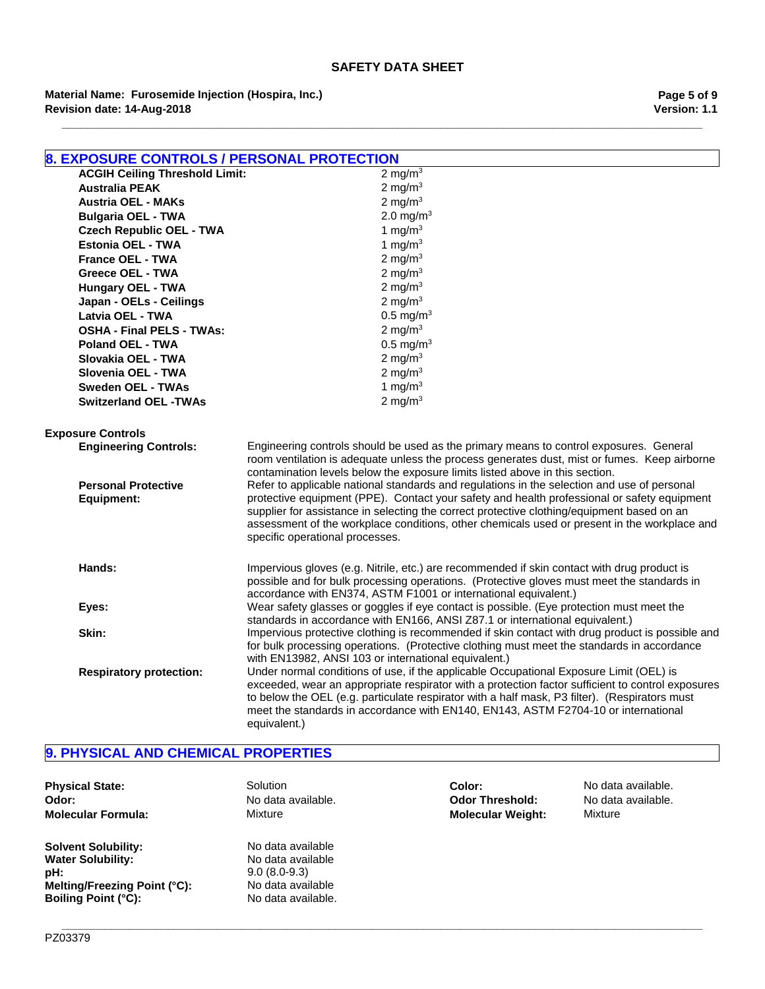**Revision date: 14-Aug-2018 Material Name: Furosemide Injection (Hospira, Inc.)** **Version: 1.1 Page 5 of 9**

| <b>8. EXPOSURE CONTROLS / PERSONAL PROTECTION</b> |                                                                                                                                                                                                                                                                                                                                                                                                                             |  |
|---------------------------------------------------|-----------------------------------------------------------------------------------------------------------------------------------------------------------------------------------------------------------------------------------------------------------------------------------------------------------------------------------------------------------------------------------------------------------------------------|--|
| <b>ACGIH Ceiling Threshold Limit:</b>             | 2 mg/m $3$                                                                                                                                                                                                                                                                                                                                                                                                                  |  |
| <b>Australia PEAK</b>                             | 2 mg/m $3$                                                                                                                                                                                                                                                                                                                                                                                                                  |  |
| <b>Austria OEL - MAKs</b>                         | 2 mg/m $3$                                                                                                                                                                                                                                                                                                                                                                                                                  |  |
| <b>Bulgaria OEL - TWA</b>                         | 2.0 mg/ $m3$                                                                                                                                                                                                                                                                                                                                                                                                                |  |
| <b>Czech Republic OEL - TWA</b>                   | 1 mg/m $3$                                                                                                                                                                                                                                                                                                                                                                                                                  |  |
| <b>Estonia OEL - TWA</b>                          | 1 mg/m $3$                                                                                                                                                                                                                                                                                                                                                                                                                  |  |
| France OEL - TWA                                  | 2 mg/m $3$                                                                                                                                                                                                                                                                                                                                                                                                                  |  |
| <b>Greece OEL - TWA</b>                           | 2 mg/m $3$                                                                                                                                                                                                                                                                                                                                                                                                                  |  |
| <b>Hungary OEL - TWA</b>                          | 2 mg/m $3$                                                                                                                                                                                                                                                                                                                                                                                                                  |  |
| Japan - OELs - Ceilings                           | 2 mg/m $3$                                                                                                                                                                                                                                                                                                                                                                                                                  |  |
| Latvia OEL - TWA                                  | $0.5 \text{ mg/m}^3$                                                                                                                                                                                                                                                                                                                                                                                                        |  |
| <b>OSHA - Final PELS - TWAs:</b>                  | 2 mg/m $3$                                                                                                                                                                                                                                                                                                                                                                                                                  |  |
| <b>Poland OEL - TWA</b>                           | $0.5 \text{ mg/m}^3$                                                                                                                                                                                                                                                                                                                                                                                                        |  |
| Slovakia OEL - TWA                                | 2 mg/m $3$                                                                                                                                                                                                                                                                                                                                                                                                                  |  |
| Slovenia OEL - TWA                                | 2 mg/m $3$                                                                                                                                                                                                                                                                                                                                                                                                                  |  |
| <b>Sweden OEL - TWAs</b>                          | 1 mg/m $3$                                                                                                                                                                                                                                                                                                                                                                                                                  |  |
| <b>Switzerland OEL -TWAs</b>                      | 2 mg/m $3$                                                                                                                                                                                                                                                                                                                                                                                                                  |  |
| <b>Exposure Controls</b>                          |                                                                                                                                                                                                                                                                                                                                                                                                                             |  |
| <b>Engineering Controls:</b>                      | Engineering controls should be used as the primary means to control exposures. General<br>room ventilation is adequate unless the process generates dust, mist or fumes. Keep airborne<br>contamination levels below the exposure limits listed above in this section.                                                                                                                                                      |  |
| <b>Personal Protective</b><br><b>Equipment:</b>   | Refer to applicable national standards and regulations in the selection and use of personal<br>protective equipment (PPE). Contact your safety and health professional or safety equipment<br>supplier for assistance in selecting the correct protective clothing/equipment based on an<br>assessment of the workplace conditions, other chemicals used or present in the workplace and<br>specific operational processes. |  |
| Hands:                                            | Impervious gloves (e.g. Nitrile, etc.) are recommended if skin contact with drug product is<br>possible and for bulk processing operations. (Protective gloves must meet the standards in<br>accordance with EN374, ASTM F1001 or international equivalent.)                                                                                                                                                                |  |
| Eyes:                                             | Wear safety glasses or goggles if eye contact is possible. (Eye protection must meet the<br>standards in accordance with EN166, ANSI Z87.1 or international equivalent.)                                                                                                                                                                                                                                                    |  |
| Skin:                                             | Impervious protective clothing is recommended if skin contact with drug product is possible and<br>for bulk processing operations. (Protective clothing must meet the standards in accordance<br>with EN13982, ANSI 103 or international equivalent.)                                                                                                                                                                       |  |
| <b>Respiratory protection:</b>                    | Under normal conditions of use, if the applicable Occupational Exposure Limit (OEL) is<br>exceeded, wear an appropriate respirator with a protection factor sufficient to control exposures<br>to below the OEL (e.g. particulate respirator with a half mask, P3 filter). (Respirators must<br>meet the standards in accordance with EN140, EN143, ASTM F2704-10 or international<br>equivalent.)                          |  |

**\_\_\_\_\_\_\_\_\_\_\_\_\_\_\_\_\_\_\_\_\_\_\_\_\_\_\_\_\_\_\_\_\_\_\_\_\_\_\_\_\_\_\_\_\_\_\_\_\_\_\_\_\_\_\_\_\_\_\_\_\_\_\_\_\_\_\_\_\_\_\_\_\_\_\_\_\_\_\_\_\_\_\_\_\_\_\_\_\_\_\_\_\_\_\_\_\_\_\_\_\_\_\_**

## **9. PHYSICAL AND CHEMICAL PROPERTIES**

| <b>Physical State:</b>       | Solution           |
|------------------------------|--------------------|
| Odor:                        | No data available. |
| Molecular Formula:           | Mixture            |
| <b>Solvent Solubility:</b>   | No data available  |
| <b>Water Solubility:</b>     | No data available  |
| pH:                          | $9.0(8.0-9.3)$     |
| Melting/Freezing Point (°C): | No data available  |
| <b>Boiling Point (°C):</b>   | No data available. |

**Color:** No data available.<br>**Physical State:** No data available. **Odor Threshold: Molecular Formula:** Mixture **Molecular Weight:** Mixture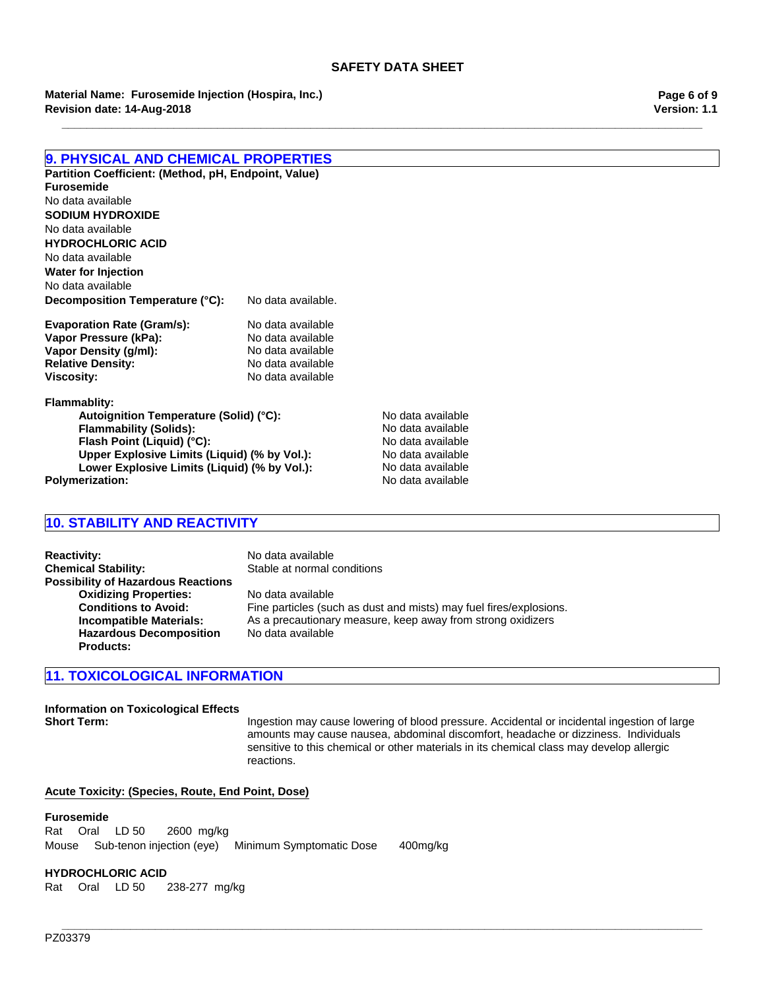**Revision date: 14-Aug-2018 Material Name: Furosemide Injection (Hospira, Inc.)**

**Page 6 of 9 Version: 1.1**

## **9. PHYSICAL AND CHEMICAL PROPERTIES**

**Partition Coefficient: (Method, pH, Endpoint, Value) Decomposition Temperature (°C):** No data available. No data available **HYDROCHLORIC ACID Furosemide** No data available **Water for Injection** No data available No data available **SODIUM HYDROXIDE**

| <b>Evaporation Rate (Gram/s):</b> | No data available |
|-----------------------------------|-------------------|
| Vapor Pressure (kPa):             | No data available |
| Vapor Density (g/ml):             | No data available |
| <b>Relative Density:</b>          | No data available |
| Viscositv:                        | No data available |

**Flammablity:**

Autoignition Temperature (Solid) (°C): No data available **Flammability (Solids):** No data available **Flash Point (Liquid) (°C):**<br> **Upper Explosive Limits (Liquid) (% by Vol.):** No data available **Upper Explosive Limits (Liquid) (% by Vol.):** No data available<br>Lower Explosive Limits (Liquid) (% by Vol.): No data available **Lower Explosive Limits (Liquid) (% by Vol.):** No data available Polymerization:

## **10. STABILITY AND REACTIVITY**

**Reactivity:** No data available **Chemical Stability:** Stable at normal conditions **Possibility of Hazardous Reactions Oxidizing Properties:** No data available<br> **Conditions to Avoid:** Fine particles (sud Fine particles (such as dust and mists) may fuel fires/explosions. **Incompatible Materials:** As a precautionary measure, keep away from strong oxidizers **Hazardous Decomposition Products:** No data available

## **11. TOXICOLOGICAL INFORMATION**

**Information on Toxicological Effects Short Term:** Ingestion may cause lowering of blood pressure. Accidental or incidental ingestion of large amounts may cause nausea, abdominal discomfort, headache or dizziness. Individuals sensitive to this chemical or other materials in its chemical class may develop allergic reactions.

## **Acute Toxicity: (Species, Route, End Point, Dose)**

## **Furosemide**

RatOralLD 502600mg/kg MouseSub-tenon injection (eye)Minimum Symptomatic Dose400mg/kg

## **HYDROCHLORIC ACID**

RatOralLD 50238-277mg/kg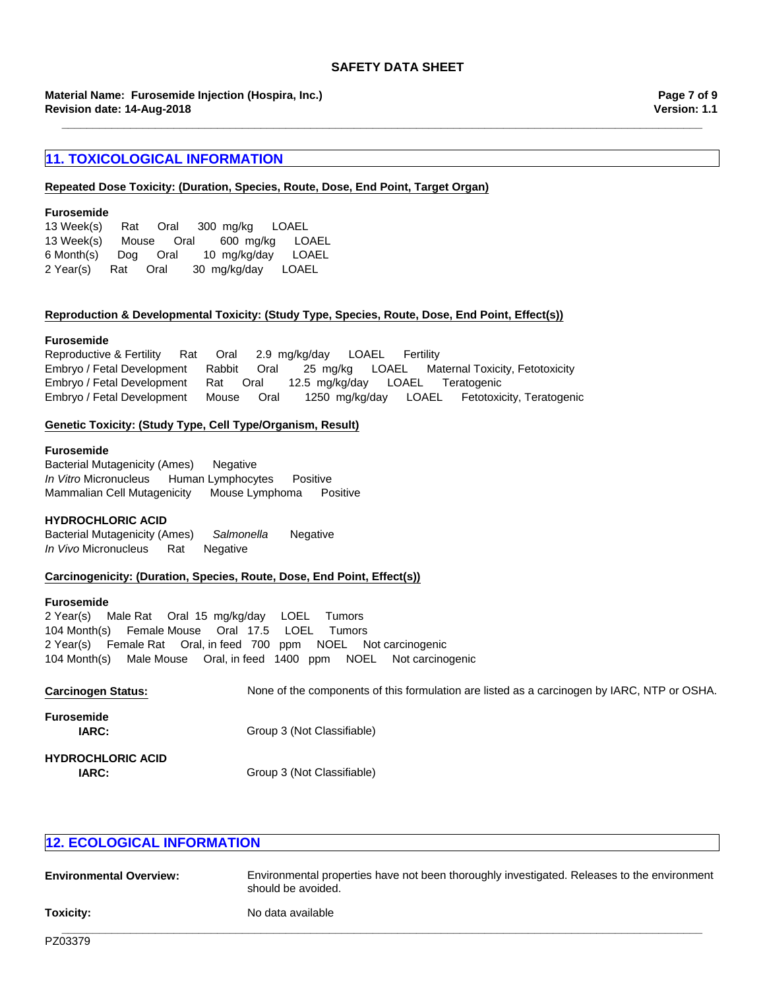**Revision date: 14-Aug-2018 Material Name: Furosemide Injection (Hospira, Inc.)**

## **11. TOXICOLOGICAL INFORMATION**

#### **Repeated Dose Toxicity: (Duration, Species, Route, Dose, End Point, Target Organ)**

## **Furosemide**

| 13 Week(s) | Rat | Oral       | 300 mg/kg LOAEL |              |
|------------|-----|------------|-----------------|--------------|
| 13 Week(s) |     | Mouse Oral | 600 mg/kg       | LOAEL        |
| 6 Month(s) | Doa | Oral       | 10 mg/kg/day    | LOAEL        |
| 2 Year(s)  | Rat | Oral       | 30 mg/kg/day    | <b>LOAEL</b> |

## **Reproduction & Developmental Toxicity: (Study Type, Species, Route, Dose, End Point, Effect(s))**

#### **Furosemide**

Embryo / Fetal DevelopmentRatOral12.5mg/kg/dayLOAELTeratogenic Embryo / Fetal DevelopmentMouseOral1250mg/kg/dayLOAELFetotoxicity, Teratogenic Reproductive & FertilityRatOral2.9mg/kg/dayLOAELFertility Embryo / Fetal DevelopmentRabbitOral25mg/kgLOAELMaternal Toxicity, Fetotoxicity

## **Genetic Toxicity: (Study Type, Cell Type/Organism, Result)**

#### **Furosemide**

Bacterial Mutagenicity (Ames)Negative *In Vitro* MicronucleusHuman LymphocytesPositive Mammalian Cell MutagenicityMouse LymphomaPositive

#### **HYDROCHLORIC ACID**

Bacterial Mutagenicity (Ames)*Salmonella* Negative *In Vivo* MicronucleusRatNegative

## **Carcinogenicity: (Duration, Species, Route, Dose, End Point, Effect(s))**

#### **Furosemide**

104 Month(s)Female MouseOral17.5LOELTumors 2 Year(s)Female RatOral, in feed700ppmNOELNot carcinogenic 104 Month(s)Male MouseOral, in feed1400ppmNOELNot carcinogenic 2 Year(s)Male RatOral15mg/kg/dayLOELTumors

| <b>Carcinogen Status:</b>                | None of the components of this formulation are listed as a carcinogen by IARC, NTP or OSHA. |
|------------------------------------------|---------------------------------------------------------------------------------------------|
| <b>Furosemide</b><br><b>IARC:</b>        | Group 3 (Not Classifiable)                                                                  |
| <b>HYDROCHLORIC ACID</b><br><b>IARC:</b> | Group 3 (Not Classifiable)                                                                  |

## **12. ECOLOGICAL INFORMATION**

| <b>Environmental Overview:</b> | Environmental properties have not been thoroughly investigated. Releases to the environment<br>should be avoided. |
|--------------------------------|-------------------------------------------------------------------------------------------------------------------|
| Toxicity:                      | No data available                                                                                                 |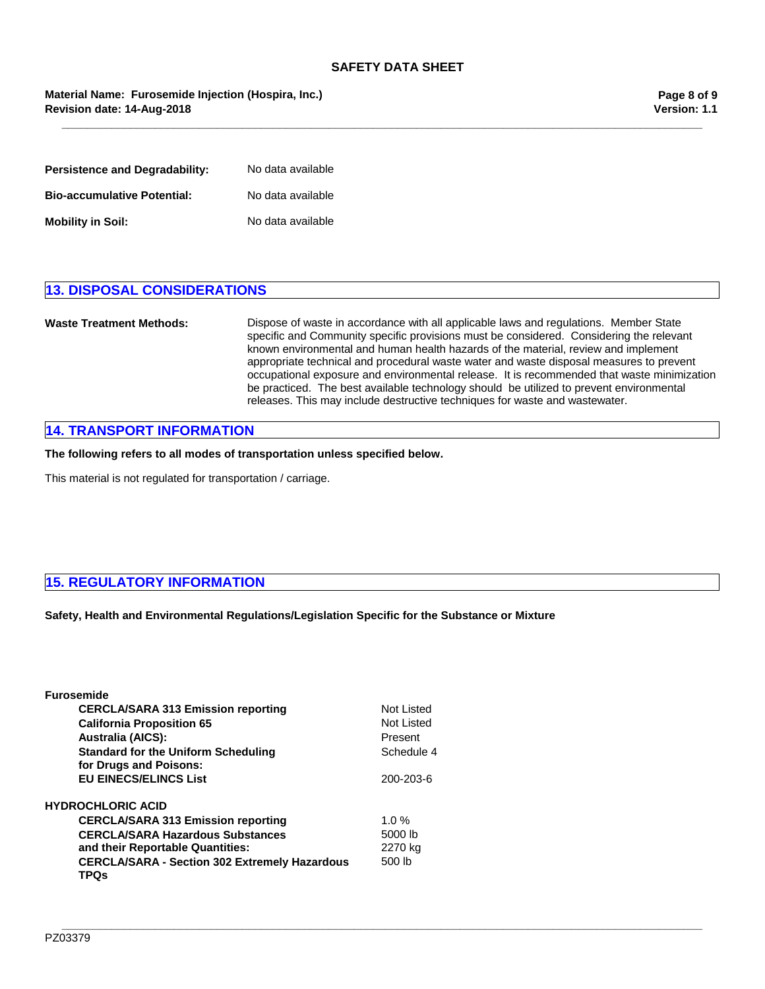**\_\_\_\_\_\_\_\_\_\_\_\_\_\_\_\_\_\_\_\_\_\_\_\_\_\_\_\_\_\_\_\_\_\_\_\_\_\_\_\_\_\_\_\_\_\_\_\_\_\_\_\_\_\_\_\_\_\_\_\_\_\_\_\_\_\_\_\_\_\_\_\_\_\_\_\_\_\_\_\_\_\_\_\_\_\_\_\_\_\_\_\_\_\_\_\_\_\_\_\_\_\_\_**

## **Revision date: 14-Aug-2018 Material Name: Furosemide Injection (Hospira, Inc.)**

| Persistence and Degradability:     | No data available |
|------------------------------------|-------------------|
| <b>Bio-accumulative Potential:</b> | No data available |
| Mobility in Soil:                  | No data available |

## **13. DISPOSAL CONSIDERATIONS**

**Waste Treatment Methods:** Dispose of waste in accordance with all applicable laws and regulations. Member State specific and Community specific provisions must be considered. Considering the relevant known environmental and human health hazards of the material, review and implement appropriate technical and procedural waste water and waste disposal measures to prevent occupational exposure and environmental release. It is recommended that waste minimization be practiced. The best available technology should be utilized to prevent environmental releases. This may include destructive techniques for waste and wastewater.

## **14. TRANSPORT INFORMATION**

**The following refers to all modes of transportation unless specified below.**

This material is not regulated for transportation / carriage.

## **15. REGULATORY INFORMATION**

**Safety, Health and Environmental Regulations/Legislation Specific for the Substance or Mixture**

**\_\_\_\_\_\_\_\_\_\_\_\_\_\_\_\_\_\_\_\_\_\_\_\_\_\_\_\_\_\_\_\_\_\_\_\_\_\_\_\_\_\_\_\_\_\_\_\_\_\_\_\_\_\_\_\_\_\_\_\_\_\_\_\_\_\_\_\_\_\_\_\_\_\_\_\_\_\_\_\_\_\_\_\_\_\_\_\_\_\_\_\_\_\_\_\_\_\_\_\_\_\_\_**

| <b>Furosemide</b>                                                    |            |
|----------------------------------------------------------------------|------------|
| <b>CERCLA/SARA 313 Emission reporting</b>                            | Not Listed |
| <b>California Proposition 65</b>                                     | Not Listed |
| <b>Australia (AICS):</b>                                             | Present    |
| <b>Standard for the Uniform Scheduling</b><br>for Drugs and Poisons: | Schedule 4 |
| <b>EU EINECS/ELINCS List</b>                                         | 200-203-6  |
| <b>HYDROCHLORIC ACID</b>                                             |            |
| <b>CERCLA/SARA 313 Emission reporting</b>                            | 1.0 $%$    |
| <b>CERCLA/SARA Hazardous Substances</b>                              | 5000 lb    |
| and their Reportable Quantities:                                     | 2270 kg    |
| <b>CERCLA/SARA - Section 302 Extremely Hazardous</b><br>TPQs         | 500 lb     |